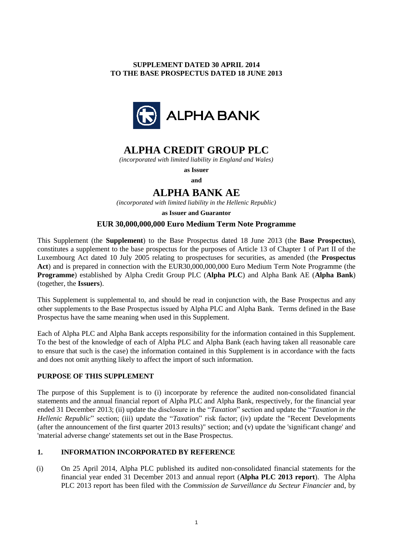# **SUPPLEMENT DATED 30 APRIL 2014 TO THE BASE PROSPECTUS DATED 18 JUNE 2013**



# **ALPHA CREDIT GROUP PLC**

*(incorporated with limited liability in England and Wales)*

**as Issuer and**

# **ALPHA BANK AE**

*(incorporated with limited liability in the Hellenic Republic)*

**as Issuer and Guarantor**

# **EUR 30,000,000,000 Euro Medium Term Note Programme**

This Supplement (the **Supplement**) to the Base Prospectus dated 18 June 2013 (the **Base Prospectus**), constitutes a supplement to the base prospectus for the purposes of Article 13 of Chapter 1 of Part II of the Luxembourg Act dated 10 July 2005 relating to prospectuses for securities, as amended (the **Prospectus Act**) and is prepared in connection with the EUR30,000,000,000 Euro Medium Term Note Programme (the **Programme**) established by Alpha Credit Group PLC (**Alpha PLC**) and Alpha Bank AE (**Alpha Bank**) (together, the **Issuers**).

This Supplement is supplemental to, and should be read in conjunction with, the Base Prospectus and any other supplements to the Base Prospectus issued by Alpha PLC and Alpha Bank. Terms defined in the Base Prospectus have the same meaning when used in this Supplement.

Each of Alpha PLC and Alpha Bank accepts responsibility for the information contained in this Supplement. To the best of the knowledge of each of Alpha PLC and Alpha Bank (each having taken all reasonable care to ensure that such is the case) the information contained in this Supplement is in accordance with the facts and does not omit anything likely to affect the import of such information.

# **PURPOSE OF THIS SUPPLEMENT**

The purpose of this Supplement is to (i) incorporate by reference the audited non-consolidated financial statements and the annual financial report of Alpha PLC and Alpha Bank, respectively, for the financial year ended 31 December 2013; (ii) update the disclosure in the "*Taxation*" section and update the "*Taxation in the Hellenic Republic*" section; (iii) update the "*Taxation*" risk factor; (iv) update the "Recent Developments (after the announcement of the first quarter 2013 results)" section; and (v) update the 'significant change' and 'material adverse change' statements set out in the Base Prospectus.

# **1. INFORMATION INCORPORATED BY REFERENCE**

(i) On 25 April 2014, Alpha PLC published its audited non-consolidated financial statements for the financial year ended 31 December 2013 and annual report (**Alpha PLC 2013 report**). The Alpha PLC 2013 report has been filed with the *Commission de Surveillance du Secteur Financier* and, by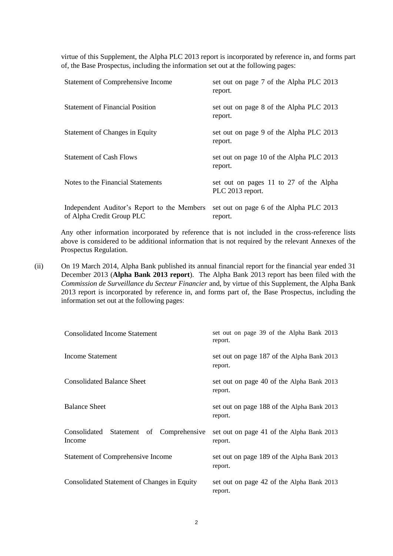virtue of this Supplement, the Alpha PLC 2013 report is incorporated by reference in, and forms part of, the Base Prospectus, including the information set out at the following pages:

| Statement of Comprehensive Income                                        | set out on page 7 of the Alpha PLC 2013<br>report.         |
|--------------------------------------------------------------------------|------------------------------------------------------------|
| <b>Statement of Financial Position</b>                                   | set out on page 8 of the Alpha PLC 2013<br>report.         |
| Statement of Changes in Equity                                           | set out on page 9 of the Alpha PLC 2013<br>report.         |
| <b>Statement of Cash Flows</b>                                           | set out on page 10 of the Alpha PLC 2013<br>report.        |
| Notes to the Financial Statements                                        | set out on pages 11 to 27 of the Alpha<br>PLC 2013 report. |
| Independent Auditor's Report to the Members<br>of Alpha Credit Group PLC | set out on page 6 of the Alpha PLC 2013<br>report.         |

Any other information incorporated by reference that is not included in the cross-reference lists above is considered to be additional information that is not required by the relevant Annexes of the Prospectus Regulation.

(ii) On 19 March 2014, Alpha Bank published its annual financial report for the financial year ended 31 December 2013 (**Alpha Bank 2013 report**). The Alpha Bank 2013 report has been filed with the *Commission de Surveillance du Secteur Financier* and, by virtue of this Supplement, the Alpha Bank 2013 report is incorporated by reference in, and forms part of, the Base Prospectus, including the information set out at the following pages:

| <b>Consolidated Income Statement</b>              | set out on page 39 of the Alpha Bank 2013<br>report.  |
|---------------------------------------------------|-------------------------------------------------------|
| Income Statement                                  | set out on page 187 of the Alpha Bank 2013<br>report. |
| Consolidated Balance Sheet                        | set out on page 40 of the Alpha Bank 2013<br>report.  |
| <b>Balance Sheet</b>                              | set out on page 188 of the Alpha Bank 2013<br>report. |
| Consolidated Statement of Comprehensive<br>Income | set out on page 41 of the Alpha Bank 2013<br>report.  |
| <b>Statement of Comprehensive Income</b>          | set out on page 189 of the Alpha Bank 2013<br>report. |
| Consolidated Statement of Changes in Equity       | set out on page 42 of the Alpha Bank 2013<br>report.  |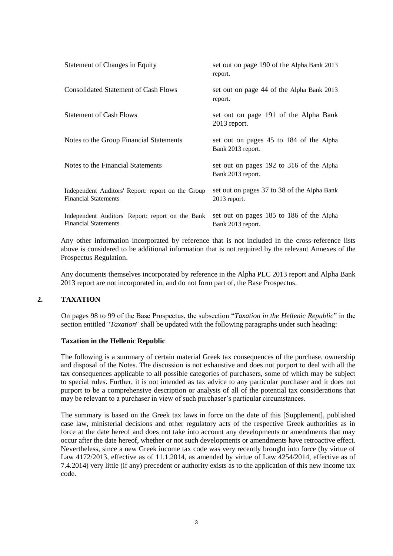| <b>Statement of Changes in Equity</b>                                            | set out on page 190 of the Alpha Bank 2013<br>report.         |
|----------------------------------------------------------------------------------|---------------------------------------------------------------|
| <b>Consolidated Statement of Cash Flows</b>                                      | set out on page 44 of the Alpha Bank 2013<br>report.          |
| <b>Statement of Cash Flows</b>                                                   | set out on page 191 of the Alpha Bank<br>$2013$ report.       |
| Notes to the Group Financial Statements                                          | set out on pages 45 to 184 of the Alpha<br>Bank 2013 report.  |
| Notes to the Financial Statements                                                | set out on pages 192 to 316 of the Alpha<br>Bank 2013 report. |
| Independent Auditors' Report: report on the Group<br><b>Financial Statements</b> | set out on pages 37 to 38 of the Alpha Bank<br>$2013$ report. |
| Independent Auditors' Report: report on the Bank<br><b>Financial Statements</b>  | set out on pages 185 to 186 of the Alpha<br>Bank 2013 report. |

Any other information incorporated by reference that is not included in the cross-reference lists above is considered to be additional information that is not required by the relevant Annexes of the Prospectus Regulation.

Any documents themselves incorporated by reference in the Alpha PLC 2013 report and Alpha Bank 2013 report are not incorporated in, and do not form part of, the Base Prospectus.

# **2. TAXATION**

On pages 98 to 99 of the Base Prospectus, the subsection "*Taxation in the Hellenic Republic*" in the section entitled "*Taxation*" shall be updated with the following paragraphs under such heading:

# **Taxation in the Hellenic Republic**

The following is a summary of certain material Greek tax consequences of the purchase, ownership and disposal of the Notes. The discussion is not exhaustive and does not purport to deal with all the tax consequences applicable to all possible categories of purchasers, some of which may be subject to special rules. Further, it is not intended as tax advice to any particular purchaser and it does not purport to be a comprehensive description or analysis of all of the potential tax considerations that may be relevant to a purchaser in view of such purchaser's particular circumstances.

The summary is based on the Greek tax laws in force on the date of this [Supplement], published case law, ministerial decisions and other regulatory acts of the respective Greek authorities as in force at the date hereof and does not take into account any developments or amendments that may occur after the date hereof, whether or not such developments or amendments have retroactive effect. Nevertheless, since a new Greek income tax code was very recently brought into force (by virtue of Law 4172/2013, effective as of 11.1.2014, as amended by virtue of Law 4254/2014, effective as of 7.4.2014) very little (if any) precedent or authority exists as to the application of this new income tax code.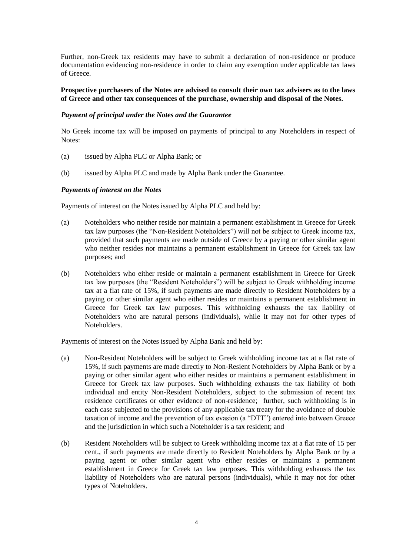Further, non-Greek tax residents may have to submit a declaration of non-residence or produce documentation evidencing non-residence in order to claim any exemption under applicable tax laws of Greece.

## **Prospective purchasers of the Notes are advised to consult their own tax advisers as to the laws of Greece and other tax consequences of the purchase, ownership and disposal of the Notes.**

## *Payment of principal under the Notes and the Guarantee*

No Greek income tax will be imposed on payments of principal to any Noteholders in respect of Notes:

- (a) issued by Alpha PLC or Alpha Bank; or
- (b) issued by Alpha PLC and made by Alpha Bank under the Guarantee.

#### *Payments of interest on the Notes*

Payments of interest on the Notes issued by Alpha PLC and held by:

- (a) Noteholders who neither reside nor maintain a permanent establishment in Greece for Greek tax law purposes (the "Non-Resident Noteholders") will not be subject to Greek income tax, provided that such payments are made outside of Greece by a paying or other similar agent who neither resides nor maintains a permanent establishment in Greece for Greek tax law purposes; and
- (b) Noteholders who either reside or maintain a permanent establishment in Greece for Greek tax law purposes (the "Resident Noteholders") will be subject to Greek withholding income tax at a flat rate of 15%, if such payments are made directly to Resident Noteholders by a paying or other similar agent who either resides or maintains a permanent establishment in Greece for Greek tax law purposes. This withholding exhausts the tax liability of Noteholders who are natural persons (individuals), while it may not for other types of Noteholders.

Payments of interest on the Notes issued by Alpha Bank and held by:

- (a) Non-Resident Noteholders will be subject to Greek withholding income tax at a flat rate of 15%, if such payments are made directly to Non-Resient Noteholders by Alpha Bank or by a paying or other similar agent who either resides or maintains a permanent establishment in Greece for Greek tax law purposes. Such withholding exhausts the tax liability of both individual and entity Non-Resident Noteholders, subject to the submission of recent tax residence certificates or other evidence of non-residence; further, such withholding is in each case subjected to the provisions of any applicable tax treaty for the avoidance of double taxation of income and the prevention of tax evasion (a "DTT") entered into between Greece and the jurisdiction in which such a Noteholder is a tax resident; and
- (b) Resident Noteholders will be subject to Greek withholding income tax at a flat rate of 15 per cent., if such payments are made directly to Resident Noteholders by Alpha Bank or by a paying agent or other similar agent who either resides or maintains a permanent establishment in Greece for Greek tax law purposes. This withholding exhausts the tax liability of Noteholders who are natural persons (individuals), while it may not for other types of Noteholders.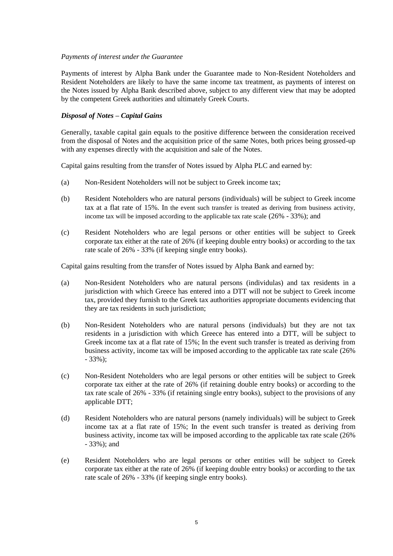## *Payments of interest under the Guarantee*

Payments of interest by Alpha Bank under the Guarantee made to Non-Resident Noteholders and Resident Noteholders are likely to have the same income tax treatment, as payments of interest on the Notes issued by Alpha Bank described above, subject to any different view that may be adopted by the competent Greek authorities and ultimately Greek Courts.

# *Disposal of Notes – Capital Gains*

Generally, taxable capital gain equals to the positive difference between the consideration received from the disposal of Notes and the acquisition price of the same Notes, both prices being grossed-up with any expenses directly with the acquisition and sale of the Notes.

Capital gains resulting from the transfer of Notes issued by Alpha PLC and earned by:

- (a) Non-Resident Noteholders will not be subject to Greek income tax;
- (b) Resident Noteholders who are natural persons (individuals) will be subject to Greek income tax at a flat rate of 15%. In the event such transfer is treated as deriving from business activity, income tax will be imposed according to the applicable tax rate scale (26% - 33%); and
- (c) Resident Noteholders who are legal persons or other entities will be subject to Greek corporate tax either at the rate of 26% (if keeping double entry books) or according to the tax rate scale of 26% - 33% (if keeping single entry books).

Capital gains resulting from the transfer of Notes issued by Alpha Bank and earned by:

- (a) Non-Resident Noteholders who are natural persons (individulas) and tax residents in a jurisdiction with which Greece has entered into a DTT will not be subject to Greek income tax, provided they furnish to the Greek tax authorities appropriate documents evidencing that they are tax residents in such jurisdiction;
- (b) Non-Resident Noteholders who are natural persons (individuals) but they are not tax residents in a jurisdiction with which Greece has entered into a DTT, will be subject to Greek income tax at a flat rate of 15%; In the event such transfer is treated as deriving from business activity, income tax will be imposed according to the applicable tax rate scale (26% - 33%);
- (c) Non-Resident Noteholders who are legal persons or other entities will be subject to Greek corporate tax either at the rate of 26% (if retaining double entry books) or according to the tax rate scale of 26% - 33% (if retaining single entry books), subject to the provisions of any applicable DTT;
- (d) Resident Noteholders who are natural persons (namely individuals) will be subject to Greek income tax at a flat rate of 15%; In the event such transfer is treated as deriving from business activity, income tax will be imposed according to the applicable tax rate scale (26% - 33%); and
- (e) Resident Noteholders who are legal persons or other entities will be subject to Greek corporate tax either at the rate of 26% (if keeping double entry books) or according to the tax rate scale of 26% - 33% (if keeping single entry books).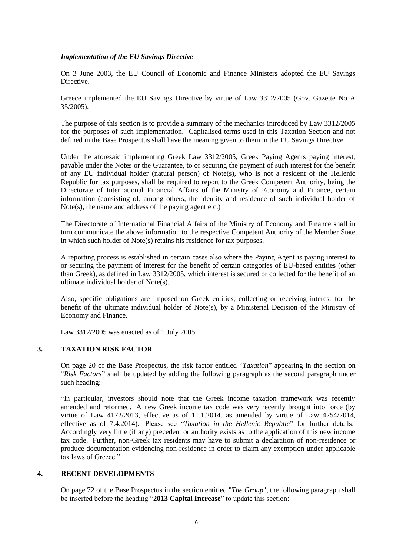# *Implementation of the EU Savings Directive*

On 3 June 2003, the EU Council of Economic and Finance Ministers adopted the EU Savings Directive.

Greece implemented the EU Savings Directive by virtue of Law 3312/2005 (Gov. Gazette No A 35/2005).

The purpose of this section is to provide a summary of the mechanics introduced by Law 3312/2005 for the purposes of such implementation. Capitalised terms used in this Taxation Section and not defined in the Base Prospectus shall have the meaning given to them in the EU Savings Directive.

Under the aforesaid implementing Greek Law 3312/2005, Greek Paying Agents paying interest, payable under the Notes or the Guarantee, to or securing the payment of such interest for the benefit of any EU individual holder (natural person) of Note(s), who is not a resident of the Hellenic Republic for tax purposes, shall be required to report to the Greek Competent Authority, being the Directorate of International Financial Affairs of the Ministry of Economy and Finance, certain information (consisting of, among others, the identity and residence of such individual holder of Note(s), the name and address of the paying agent etc.)

The Directorate of International Financial Affairs of the Ministry of Economy and Finance shall in turn communicate the above information to the respective Competent Authority of the Member State in which such holder of Note(s) retains his residence for tax purposes.

A reporting process is established in certain cases also where the Paying Agent is paying interest to or securing the payment of interest for the benefit of certain categories of EU-based entities (other than Greek), as defined in Law 3312/2005, which interest is secured or collected for the benefit of an ultimate individual holder of Note(s).

Also, specific obligations are imposed on Greek entities, collecting or receiving interest for the benefit of the ultimate individual holder of Note(s), by a Ministerial Decision of the Ministry of Economy and Finance.

Law 3312/2005 was enacted as of 1 July 2005.

# **3. TAXATION RISK FACTOR**

On page 20 of the Base Prospectus, the risk factor entitled "*Taxation*" appearing in the section on "*Risk Factors*" shall be updated by adding the following paragraph as the second paragraph under such heading:

"In particular, investors should note that the Greek income taxation framework was recently amended and reformed. A new Greek income tax code was very recently brought into force (by virtue of Law 4172/2013, effective as of 11.1.2014, as amended by virtue of Law 4254/2014, effective as of 7.4.2014). Please see "*Taxation in the Hellenic Republic*" for further details. Accordingly very little (if any) precedent or authority exists as to the application of this new income tax code. Further, non-Greek tax residents may have to submit a declaration of non-residence or produce documentation evidencing non-residence in order to claim any exemption under applicable tax laws of Greece."

# **4. RECENT DEVELOPMENTS**

On page 72 of the Base Prospectus in the section entitled "*The Group*", the following paragraph shall be inserted before the heading "**2013 Capital Increase**" to update this section: